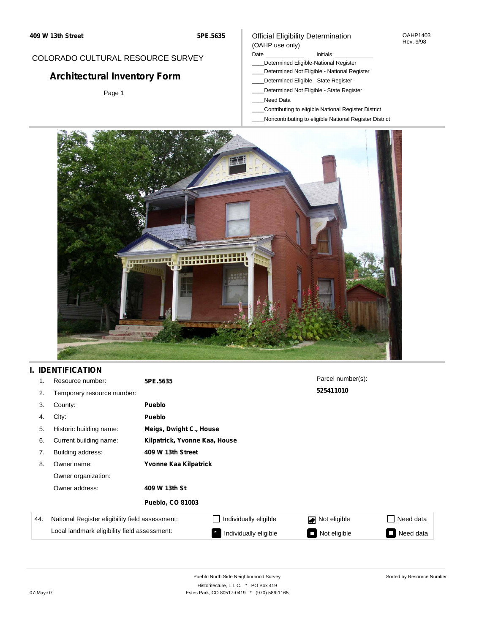#### OAHP1403 Rev. 9/98

### COLORADO CULTURAL RESOURCE SURVEY

# **Architectural Inventory Form**

Page 1

### (OAHP use only) Date **Initials** Initials

Official Eligibility Determination

- \_\_\_\_Determined Eligible-National Register
- \_\_\_\_Determined Not Eligible National Register
- \_\_\_\_Determined Eligible State Register
- \_\_\_\_Determined Not Eligible State Register
- \_\_\_\_Need Data
- \_\_\_\_Contributing to eligible National Register District
- \_\_\_\_Noncontributing to eligible National Register District



## **I. IDENTIFICATION**

| 1.  | Resource number:                                | 5PE.5635                      |                         | Parcel number(s): |                |  |  |  |
|-----|-------------------------------------------------|-------------------------------|-------------------------|-------------------|----------------|--|--|--|
| 2.  | Temporary resource number:                      |                               |                         | 525411010         |                |  |  |  |
| 3.  | County:                                         | <b>Pueblo</b>                 |                         |                   |                |  |  |  |
| 4.  | City:                                           | <b>Pueblo</b>                 |                         |                   |                |  |  |  |
| 5.  | Historic building name:                         |                               | Meigs, Dwight C., House |                   |                |  |  |  |
| 6.  | Current building name:                          | Kilpatrick, Yvonne Kaa, House |                         |                   |                |  |  |  |
| 7.  | Building address:                               | 409 W 13th Street             |                         |                   |                |  |  |  |
| 8.  | Owner name:                                     | Yvonne Kaa Kilpatrick         |                         |                   |                |  |  |  |
|     | Owner organization:                             |                               |                         |                   |                |  |  |  |
|     | Owner address:                                  | 409 W 13th St                 |                         |                   |                |  |  |  |
|     |                                                 | <b>Pueblo, CO 81003</b>       |                         |                   |                |  |  |  |
| 44. | National Register eligibility field assessment: |                               | Individually eligible   | Not eligible      | Need data      |  |  |  |
|     | Local landmark eligibility field assessment:    |                               | Individually eligible   | Not eligible      | Need data<br>П |  |  |  |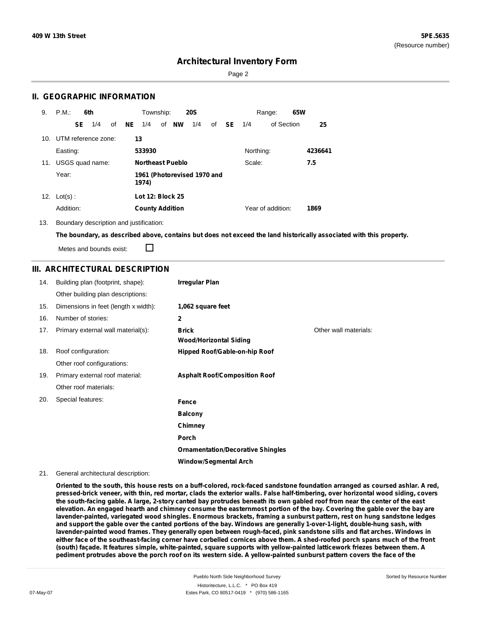Sorted by Resource Number

## **Architectural Inventory Form**

Page 2

### **II. GEOGRAPHIC INFORMATION**

| 9.  | P.M.       | 6th<br>Township:<br><b>20S</b><br>Range: |                     |    | 65W |                                      |  |                         |     |    |           |           |                   |  |         |
|-----|------------|------------------------------------------|---------------------|----|-----|--------------------------------------|--|-------------------------|-----|----|-----------|-----------|-------------------|--|---------|
|     |            | SE                                       | 1/4                 | of | NE  | 1/4                                  |  | of NW                   | 1/4 | of | <b>SE</b> | 1/4       | of Section        |  | 25      |
| 10. |            |                                          | UTM reference zone: |    | 13  |                                      |  |                         |     |    |           |           |                   |  |         |
|     | Easting:   |                                          |                     |    |     | 533930                               |  |                         |     |    |           | Northing: |                   |  | 4236641 |
| 11. |            |                                          | USGS quad name:     |    |     |                                      |  | <b>Northeast Pueblo</b> |     |    |           | Scale:    |                   |  | 7.5     |
|     | Year:      |                                          |                     |    |     | 1961 (Photorevised 1970 and<br>1974) |  |                         |     |    |           |           |                   |  |         |
| 12. | $Lot(s)$ : |                                          |                     |    |     | <b>Lot 12: Block 25</b>              |  |                         |     |    |           |           |                   |  |         |
|     | Addition:  |                                          |                     |    |     | <b>County Addition</b>               |  |                         |     |    |           |           | Year of addition: |  | 1869    |

13. Boundary description and justification:

The boundary, as described above, contains but does not exceed the land historically associated with this property.

П Metes and bounds exist:

### **III. ARCHITECTURAL DESCRIPTION**

| 14. | Building plan (footprint, shape):    | <b>Irregular Plan</b>                         |                       |
|-----|--------------------------------------|-----------------------------------------------|-----------------------|
|     | Other building plan descriptions:    |                                               |                       |
| 15. | Dimensions in feet (length x width): | 1,062 square feet                             |                       |
| 16. | Number of stories:                   | $\mathbf{2}$                                  |                       |
| 17. | Primary external wall material(s):   | <b>Brick</b><br><b>Wood/Horizontal Siding</b> | Other wall materials: |
| 18. | Roof configuration:                  | Hipped Roof/Gable-on-hip Roof                 |                       |
|     | Other roof configurations:           |                                               |                       |
| 19. | Primary external roof material:      | <b>Asphalt Roof/Composition Roof</b>          |                       |
|     | Other roof materials:                |                                               |                       |
| 20. | Special features:                    | Fence                                         |                       |
|     |                                      | <b>Balcony</b>                                |                       |
|     |                                      | Chimney                                       |                       |
|     |                                      | Porch                                         |                       |
|     |                                      | <b>Ornamentation/Decorative Shingles</b>      |                       |
|     |                                      | <b>Window/Segmental Arch</b>                  |                       |

21. General architectural description:

Oriented to the south, this house rests on a buff-colored, rock-faced sandstone foundation arranged as coursed ashlar. A red, pressed-brick veneer, with thin, red mortar, clads the exterior walls. False half-timbering, over horizontal wood siding, covers the south-facing gable. A large, 2-story canted bay protrudes beneath its own gabled roof from near the center of the east elevation. An engaged hearth and chimney consume the easternmost portion of the bay. Covering the gable over the bay are lavender-painted, variegated wood shingles. Enormous brackets, framing a sunburst pattern, rest on hung sandstone ledges and support the gable over the canted portions of the bay. Windows are generally 1-over-1-light, double-hung sash, with lavender-painted wood frames. They generally open between rough-faced, pink sandstone sills and flat arches. Windows in either face of the southeast-facing corner have corbelled cornices above them. A shed-roofed porch spans much of the front (south) façade. It features simple, white-painted, square supports with yellow-painted latticework friezes between them. A pediment protrudes above the porch roof on its western side. A yellow-painted sunburst pattern covers the face of the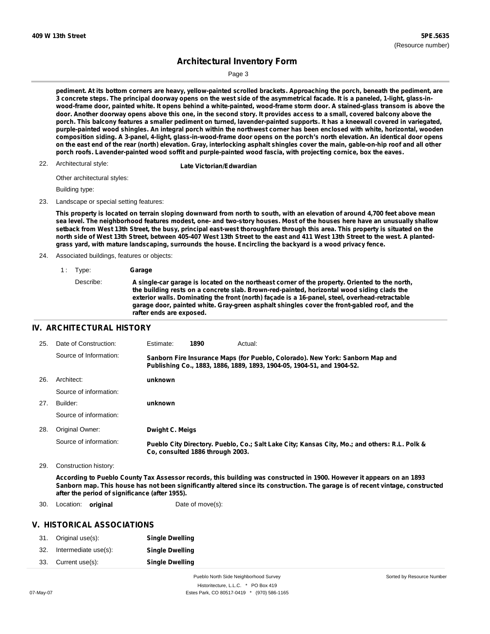Sorted by Resource Number

## **Architectural Inventory Form**

Page 3

pediment. At its bottom corners are heavy, yellow-painted scrolled brackets. Approaching the porch, beneath the pediment, are 3 concrete steps. The principal doorway opens on the west side of the asymmetrical facade. It is a paneled, 1-light, glass-inwood-frame door, painted white. It opens behind a white-painted, wood-frame storm door. A stained-glass transom is above the door. Another doorway opens above this one, in the second story. It provides access to a small, covered balcony above the porch. This balcony features a smaller pediment on turned, lavender-painted supports. It has a kneewall covered in variegated, purple-painted wood shingles. An integral porch within the northwest corner has been enclosed with white, horizontal, wooden composition siding. A 3-panel, 4-light, glass-in-wood-frame door opens on the porch's north elevation. An identical door opens on the east end of the rear (north) elevation. Gray, interlocking asphalt shingles cover the main, gable-on-hip roof and all other **porch roofs. Lavender-painted wood soffit and purple-painted wood fascia, with projecting cornice, box the eaves.**

22. Architectural style:

**Late Victorian/Edwardian** 

Other architectural styles:

Building type:

23. Landscape or special setting features:

This property is located on terrain sloping downward from north to south, with an elevation of around 4,700 feet above mean sea level. The neighborhood features modest, one- and two-story houses. Most of the houses here have an unusually shallow setback from West 13th Street, the busy, principal east-west thoroughfare through this area. This property is situated on the north side of West 13th Street, between 405-407 West 13th Street to the east and 411 West 13th Street to the west. A planted**grass yard, with mature landscaping, surrounds the house. Encircling the backyard is a wood privacy fence.**

- 24. Associated buildings, features or objects:
	- 1 : Type: **Garage**

### **IV. ARCHITECTURAL HISTORY**

| 25. | Date of Construction:  | Estimate:              | 1890                             | Actual:                                                                                                                                                 |
|-----|------------------------|------------------------|----------------------------------|---------------------------------------------------------------------------------------------------------------------------------------------------------|
|     | Source of Information: |                        |                                  | Sanborn Fire Insurance Maps (for Pueblo, Colorado). New York: Sanborn Map and<br>Publishing Co., 1883, 1886, 1889, 1893, 1904-05, 1904-51, and 1904-52. |
| 26. | Architect:             | unknown                |                                  |                                                                                                                                                         |
|     | Source of information: |                        |                                  |                                                                                                                                                         |
| 27. | Builder:               | unknown                |                                  |                                                                                                                                                         |
|     | Source of information: |                        |                                  |                                                                                                                                                         |
| 28. | Original Owner:        | <b>Dwight C. Meigs</b> |                                  |                                                                                                                                                         |
|     | Source of information: |                        | Co. consulted 1886 through 2003. | Pueblo City Directory. Pueblo, Co.; Salt Lake City; Kansas City, Mo.; and others: R.L. Polk &                                                           |

29. Construction history:

According to Pueblo County Tax Assessor records, this building was constructed in 1900. However it appears on an 1893 Sanborn map. This house has not been significantly altered since its construction. The garage is of recent vintage, constructed **after the period of significance (after 1955).**

30. Location: **original** Date of move(s):

### **V. HISTORICAL ASSOCIATIONS**

|     | 31. Original use(s): | <b>Single Dwelling</b> |
|-----|----------------------|------------------------|
| 32. | Intermediate use(s): | <b>Single Dwelling</b> |
| 33. | Current use(s):      | <b>Single Dwelling</b> |

Pueblo North Side Neighborhood Survey Historitecture, L.L.C. \* PO Box 419 07-May-07 Estes Park, CO 80517-0419 \* (970) 586-1165

Describe: **A single-car garage is located on the northeast corner of the property. Oriented to the north, the building rests on a concrete slab. Brown-red-painted, horizontal wood siding clads the exterior walls. Dominating the front (north) façade is a 16-panel, steel, overhead-retractable garage door, painted white. Gray-green asphalt shingles cover the front-gabled roof, and the rafter ends are exposed.**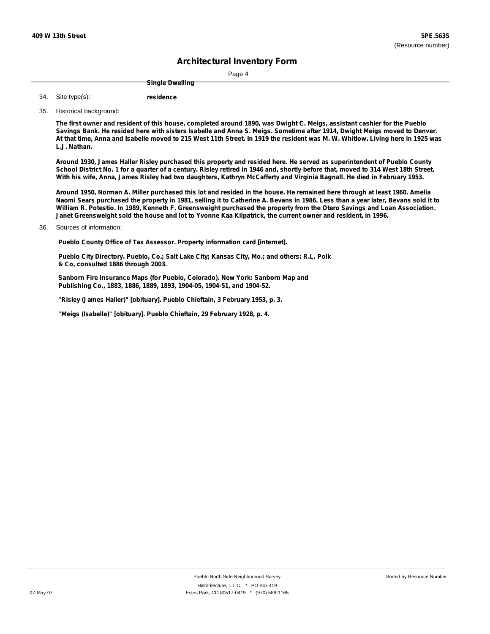Page 4

**Single Dwelling**

**residence** Site type(s): 34.

35. Historical background:

The first owner and resident of this house, completed around 1890, was Dwight C. Meigs, assistant cashier for the Pueblo Savings Bank. He resided here with sisters Isabelle and Anna S. Meigs. Sometime after 1914, Dwight Meigs moved to Denver. At that time, Anna and Isabelle moved to 215 West 11th Street. In 1919 the resident was M. W. Whitlow. Living here in 1925 was **L.J. Nathan.**

Around 1930, James Haller Risley purchased this property and resided here. He served as superintendent of Pueblo County School District No. 1 for a quarter of a century. Risley retired in 1946 and, shortly before that, moved to 314 West 18th Street. With his wife, Anna, James Risley had two daughters, Kathryn McCafferty and Virginia Bagnall. He died in February 1953.

Around 1950, Norman A. Miller purchased this lot and resided in the house. He remained here through at least 1960. Amelia Naomi Sears purchased the property in 1981, selling it to Catherine A. Bevans in 1986. Less than a year later, Bevans sold it to William R. Potestio. In 1989, Kenneth F. Greensweight purchased the property from the Otero Savings and Loan Association. Janet Greensweight sold the house and lot to Yvonne Kaa Kilpatrick, the current owner and resident, in 1996.

Sources of information: 36.

**Pueblo County Office of Tax Assessor. Property information card [internet].**

**Pueblo City Directory. Pueblo, Co.; Salt Lake City; Kansas City, Mo.; and others: R.L. Polk & Co, consulted 1886 through 2003.**

**Sanborn Fire Insurance Maps (for Pueblo, Colorado). New York: Sanborn Map and Publishing Co., 1883, 1886, 1889, 1893, 1904-05, 1904-51, and 1904-52.**

**"Risley (James Haller)" [obituary]. Pueblo Chieftain, 3 February 1953, p. 3.**

**"Meigs (Isabelle)" [obituary]. Pueblo Chieftain, 29 February 1928, p. 4.**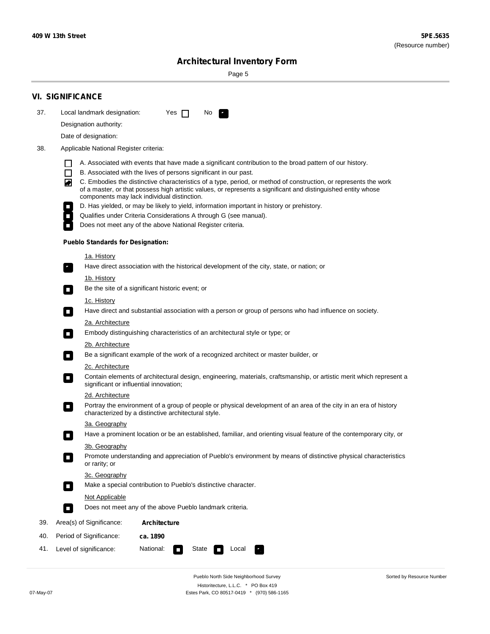÷

Sorted by Resource Number

# **Architectural Inventory Form**

Page 5

|     | <b>VI. SIGNIFICANCE</b>                                                                                                                                                                                                                                                                                                  |                                                                                                                                                                                                                                                                                                                                                                                                                                                                                                                                                                                                                                                                                                                                                                                                                                                                                                                                                                                                                                                                                                                                                                                                                                                                                                                                                                                                                                                                                                                                                                                                         |  |  |  |  |  |  |
|-----|--------------------------------------------------------------------------------------------------------------------------------------------------------------------------------------------------------------------------------------------------------------------------------------------------------------------------|---------------------------------------------------------------------------------------------------------------------------------------------------------------------------------------------------------------------------------------------------------------------------------------------------------------------------------------------------------------------------------------------------------------------------------------------------------------------------------------------------------------------------------------------------------------------------------------------------------------------------------------------------------------------------------------------------------------------------------------------------------------------------------------------------------------------------------------------------------------------------------------------------------------------------------------------------------------------------------------------------------------------------------------------------------------------------------------------------------------------------------------------------------------------------------------------------------------------------------------------------------------------------------------------------------------------------------------------------------------------------------------------------------------------------------------------------------------------------------------------------------------------------------------------------------------------------------------------------------|--|--|--|--|--|--|
| 37. | Local landmark designation:                                                                                                                                                                                                                                                                                              | Yes $\Box$<br>No.<br>$\mathbf{F}$                                                                                                                                                                                                                                                                                                                                                                                                                                                                                                                                                                                                                                                                                                                                                                                                                                                                                                                                                                                                                                                                                                                                                                                                                                                                                                                                                                                                                                                                                                                                                                       |  |  |  |  |  |  |
|     | Designation authority:                                                                                                                                                                                                                                                                                                   |                                                                                                                                                                                                                                                                                                                                                                                                                                                                                                                                                                                                                                                                                                                                                                                                                                                                                                                                                                                                                                                                                                                                                                                                                                                                                                                                                                                                                                                                                                                                                                                                         |  |  |  |  |  |  |
|     | Date of designation:                                                                                                                                                                                                                                                                                                     |                                                                                                                                                                                                                                                                                                                                                                                                                                                                                                                                                                                                                                                                                                                                                                                                                                                                                                                                                                                                                                                                                                                                                                                                                                                                                                                                                                                                                                                                                                                                                                                                         |  |  |  |  |  |  |
| 38. | Applicable National Register criteria:                                                                                                                                                                                                                                                                                   |                                                                                                                                                                                                                                                                                                                                                                                                                                                                                                                                                                                                                                                                                                                                                                                                                                                                                                                                                                                                                                                                                                                                                                                                                                                                                                                                                                                                                                                                                                                                                                                                         |  |  |  |  |  |  |
|     | $\Box$<br>◙<br><b>Pueblo Standards for Designation:</b><br><u>1a. History</u><br>$\overline{\phantom{a}}$ .<br><u>1b. History</u><br>$\Box$<br>1c. History<br>$\Box$<br>2a. Architecture<br>$\Box$<br>2b. Architecture<br>$\mathcal{L}_{\mathcal{A}}$<br>2c. Architecture<br>О<br>2d. Architecture<br>О<br>3a. Geography | A. Associated with events that have made a significant contribution to the broad pattern of our history.<br>B. Associated with the lives of persons significant in our past.<br>C. Embodies the distinctive characteristics of a type, period, or method of construction, or represents the work<br>of a master, or that possess high artistic values, or represents a significant and distinguished entity whose<br>components may lack individual distinction.<br>D. Has yielded, or may be likely to yield, information important in history or prehistory.<br>Qualifies under Criteria Considerations A through G (see manual).<br>Does not meet any of the above National Register criteria.<br>Have direct association with the historical development of the city, state, or nation; or<br>Be the site of a significant historic event; or<br>Have direct and substantial association with a person or group of persons who had influence on society.<br>Embody distinguishing characteristics of an architectural style or type; or<br>Be a significant example of the work of a recognized architect or master builder, or<br>Contain elements of architectural design, engineering, materials, craftsmanship, or artistic merit which represent a<br>significant or influential innovation;<br>Portray the environment of a group of people or physical development of an area of the city in an era of history<br>characterized by a distinctive architectural style.<br>Have a prominent location or be an established, familiar, and orienting visual feature of the contemporary city, or |  |  |  |  |  |  |
|     | 3b. Geography                                                                                                                                                                                                                                                                                                            |                                                                                                                                                                                                                                                                                                                                                                                                                                                                                                                                                                                                                                                                                                                                                                                                                                                                                                                                                                                                                                                                                                                                                                                                                                                                                                                                                                                                                                                                                                                                                                                                         |  |  |  |  |  |  |
|     | or rarity; or                                                                                                                                                                                                                                                                                                            | Promote understanding and appreciation of Pueblo's environment by means of distinctive physical characteristics                                                                                                                                                                                                                                                                                                                                                                                                                                                                                                                                                                                                                                                                                                                                                                                                                                                                                                                                                                                                                                                                                                                                                                                                                                                                                                                                                                                                                                                                                         |  |  |  |  |  |  |
|     | 3c. Geography                                                                                                                                                                                                                                                                                                            |                                                                                                                                                                                                                                                                                                                                                                                                                                                                                                                                                                                                                                                                                                                                                                                                                                                                                                                                                                                                                                                                                                                                                                                                                                                                                                                                                                                                                                                                                                                                                                                                         |  |  |  |  |  |  |
|     | $\Box$                                                                                                                                                                                                                                                                                                                   | Make a special contribution to Pueblo's distinctive character.                                                                                                                                                                                                                                                                                                                                                                                                                                                                                                                                                                                                                                                                                                                                                                                                                                                                                                                                                                                                                                                                                                                                                                                                                                                                                                                                                                                                                                                                                                                                          |  |  |  |  |  |  |
|     | Not Applicable                                                                                                                                                                                                                                                                                                           |                                                                                                                                                                                                                                                                                                                                                                                                                                                                                                                                                                                                                                                                                                                                                                                                                                                                                                                                                                                                                                                                                                                                                                                                                                                                                                                                                                                                                                                                                                                                                                                                         |  |  |  |  |  |  |
|     | П                                                                                                                                                                                                                                                                                                                        | Does not meet any of the above Pueblo landmark criteria.                                                                                                                                                                                                                                                                                                                                                                                                                                                                                                                                                                                                                                                                                                                                                                                                                                                                                                                                                                                                                                                                                                                                                                                                                                                                                                                                                                                                                                                                                                                                                |  |  |  |  |  |  |
| 39. | Area(s) of Significance:                                                                                                                                                                                                                                                                                                 | <b>Architecture</b>                                                                                                                                                                                                                                                                                                                                                                                                                                                                                                                                                                                                                                                                                                                                                                                                                                                                                                                                                                                                                                                                                                                                                                                                                                                                                                                                                                                                                                                                                                                                                                                     |  |  |  |  |  |  |
| 40. | Period of Significance:                                                                                                                                                                                                                                                                                                  | ca. 1890                                                                                                                                                                                                                                                                                                                                                                                                                                                                                                                                                                                                                                                                                                                                                                                                                                                                                                                                                                                                                                                                                                                                                                                                                                                                                                                                                                                                                                                                                                                                                                                                |  |  |  |  |  |  |
| 41. | National:<br>Level of significance:<br>State<br>Local<br>n                                                                                                                                                                                                                                                               |                                                                                                                                                                                                                                                                                                                                                                                                                                                                                                                                                                                                                                                                                                                                                                                                                                                                                                                                                                                                                                                                                                                                                                                                                                                                                                                                                                                                                                                                                                                                                                                                         |  |  |  |  |  |  |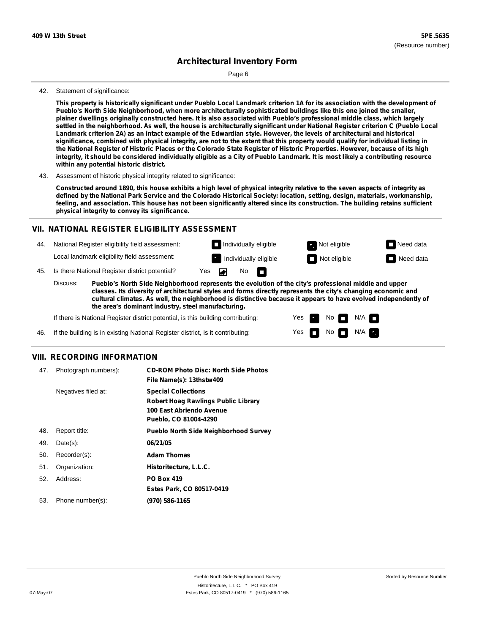Page 6

### 42. Statement of significance:

This property is historically significant under Pueblo Local Landmark criterion 1A for its association with the development of **Pueblo's North Side Neighborhood, when more architecturally sophisticated buildings like this one joined the smaller,** plainer dwellings originally constructed here. It is also associated with Pueblo's professional middle class, which largely settled in the neighborhood. As well, the house is architecturally significant under National Register criterion C (Pueblo Local Landmark criterion 2A) as an intact example of the Edwardian style. However, the levels of architectural and historical significance, combined with physical integrity, are not to the extent that this property would qualify for individual listing in the National Register of Historic Places or the Colorado State Register of Historic Properties. However, because of its high integrity, it should be considered individually eligible as a City of Pueblo Landmark. It is most likely a contributing resource **within any potential historic district.**

43. Assessment of historic physical integrity related to significance:

Constructed around 1890, this house exhibits a high level of physical integrity relative to the seven aspects of integrity as defined by the National Park Service and the Colorado Historical Society: location, setting, design, materials, workmanship, feeling, and association. This house has not been significantly altered since its construction. The building retains sufficient **physical integrity to convey its significance.**

### **VII. NATIONAL REGISTER ELIGIBILITY ASSESSMENT**

44. National Register eligibility field assessment: Local landmark eligibility field assessment:

**Individually eligible Not eligible** Not eligible **Need data**  $\blacksquare$  Individually eligible  $\blacksquare$  Not eligible  $\blacksquare$  Need data No IT.

> Yes Yes

No

 $No$   $M/A$ 

N/A

45. Is there National Register district potential? Yes ◚

**Pueblo's North Side Neighborhood represents the evolution of the city's professional middle and upper classes. Its diversity of architectural styles and forms directly represents the city's changing economic and cultural climates. As well, the neighborhood is distinctive because it appears to have evolved independently of the area's dominant industry, steel manufacturing.** Discuss:

If there is National Register district potential, is this building contributing:

If the building is in existing National Register district, is it contributing: 46.

### **VIII. RECORDING INFORMATION**

| 47. | Photograph numbers): | <b>CD-ROM Photo Disc: North Side Photos</b><br>File Name(s): 13thstw409                                                       |
|-----|----------------------|-------------------------------------------------------------------------------------------------------------------------------|
|     | Negatives filed at:  | <b>Special Collections</b><br><b>Robert Hoag Rawlings Public Library</b><br>100 East Abriendo Avenue<br>Pueblo, CO 81004-4290 |
| 48. | Report title:        | <b>Pueblo North Side Neighborhood Survey</b>                                                                                  |
| 49. | $Date(s)$ :          | 06/21/05                                                                                                                      |
| 50. | Recorder(s):         | <b>Adam Thomas</b>                                                                                                            |
| 51. | Organization:        | Historitecture, L.L.C.                                                                                                        |
| 52. | Address:             | <b>PO Box 419</b>                                                                                                             |
|     |                      | Estes Park, CO 80517-0419                                                                                                     |
| 53. | Phone number(s):     | (970) 586-1165                                                                                                                |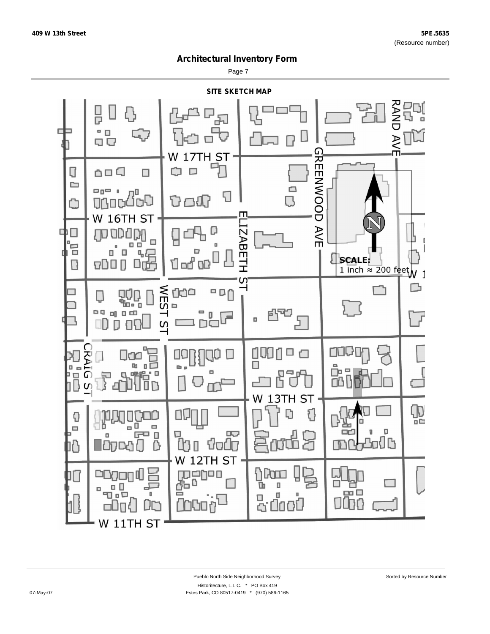Page 7